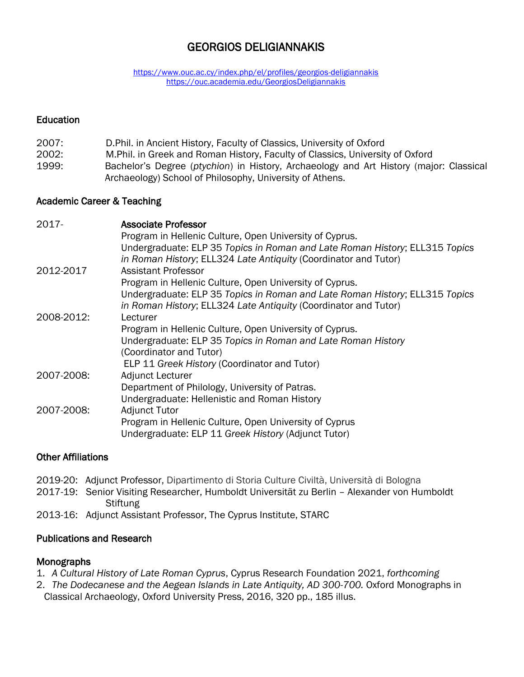# GEORGIOS DELIGIANNAKIS

<https://www.ouc.ac.cy/index.php/el/profiles/georgios-deligiannakis> <https://ouc.academia.edu/GeorgiosDeligiannakis>

#### **Education**

- 2007: D.Phil. in Ancient History, Faculty of Classics, University of Oxford
- 2002: M.Phil. in Greek and Roman History, Faculty of Classics, University of Oxford
- 1999: Bachelor's Degree (*ptychion*) in History, Archaeology and Art History (major: Classical Archaeology) School of Philosophy, University of Athens.

#### Academic Career & Teaching

| $2017 -$   | <b>Associate Professor</b>                                                  |
|------------|-----------------------------------------------------------------------------|
|            | Program in Hellenic Culture, Open University of Cyprus.                     |
|            | Undergraduate: ELP 35 Topics in Roman and Late Roman History; ELL315 Topics |
|            | in Roman History; ELL324 Late Antiquity (Coordinator and Tutor)             |
| 2012-2017  | <b>Assistant Professor</b>                                                  |
|            | Program in Hellenic Culture, Open University of Cyprus.                     |
|            | Undergraduate: ELP 35 Topics in Roman and Late Roman History; ELL315 Topics |
|            | in Roman History; ELL324 Late Antiquity (Coordinator and Tutor)             |
| 2008-2012: | Lecturer                                                                    |
|            | Program in Hellenic Culture, Open University of Cyprus.                     |
|            | Undergraduate: ELP 35 Topics in Roman and Late Roman History                |
|            | (Coordinator and Tutor)                                                     |
|            | ELP 11 Greek History (Coordinator and Tutor)                                |
| 2007-2008: | Adjunct Lecturer                                                            |
|            | Department of Philology, University of Patras.                              |
|            | Undergraduate: Hellenistic and Roman History                                |
| 2007-2008: | <b>Adjunct Tutor</b>                                                        |
|            | Program in Hellenic Culture, Open University of Cyprus                      |
|            | Undergraduate: ELP 11 Greek History (Adjunct Tutor)                         |

### Other Affiliations

- 2019-20: Adjunct Professor, Dipartimento di Storia Culture Civiltà, Università di Bologna
- 2017-19: Senior Visiting Researcher, Humboldt Universität zu Berlin Alexander von Humboldt **Stiftung**
- 2013-16: Adjunct Assistant Professor, The Cyprus Institute, STARC

### Publications and Research

#### Monographs

- 1. *A Cultural History of Late Roman Cyprus*, Cyprus Research Foundation 2021, *forthcoming*
- 2. *The Dodecanese and the Aegean Islands in Late Antiquity, AD 300-700. Oxford Monographs in* Classical Archaeology, Oxford University Press, 2016, 320 pp., 185 illus.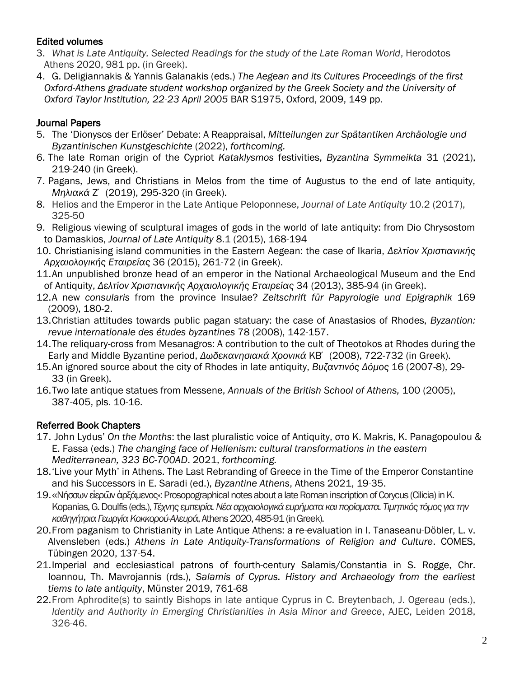## Edited volumes

- 3. *What is Late Antiquity. Selected Readings for the study of the Late Roman World*, Herodotos Athens 2020, 981 pp. (in Greek).
- 4. G. Deligiannakis & Yannis Galanakis (eds.) *The Aegean and its Cultures Proceedings of the first Oxford-Athens graduate student workshop organized by the Greek Society and the University of Oxford Taylor Institution, 22-23 April 2005* BAR S1975, Oxford, 2009, 149 pp.

## Journal Papers

- 5. The 'Dionysos der Erlöser' Debate: A Reappraisal, *Mitteilungen zur Spätantiken Archäologie und Byzantinischen Kunstgeschichte* (2022), *forthcoming.*
- 6. The late Roman origin of the Cypriot *Kataklysmos* festivities, *Byzantina Symmeikta* 31 (2021), 219-240 (in Greek).
- 7. Pagans, Jews, and Christians in Melos from the time of Augustus to the end of late antiquity, *Μηλιακά* Ζ΄ (2019), 295-320 (in Greek).
- 8. Helios and the Emperor in the Late Antique Peloponnese, *Journal of Late Antiquity* 10.2 (2017), 325-50
- 9. Religious viewing of sculptural images of gods in the world of late antiquity: from Dio Chrysostom to Damaskios, *Journal of Late Antiquity* 8.1 (2015), 168-194
- 10. Christianising island communities in the Eastern Aegean: the case of Ikaria, *Δελτίον Χριστιανικής Αρχαιολογικής Εταιρείας* 36 (2015), 261-72 (in Greek).
- 11.An unpublished bronze head of an emperor in the National Archaeological Museum and the End of Antiquity, *Δελτίον Χριστιανικής Αρχαιολογικής Εταιρείας* 34 (2013), 385-94 (in Greek).
- 12.A new *consularis* from the province Insulae? *Zeitschrift für Papyrologie und Epigraphik* 169 (2009), 180-2.
- 13.Christian attitudes towards public pagan statuary: the case of Anastasios of Rhodes, *Byzantion: revue internationale des études byzantines* 78 (2008), 142-157.
- 14.The reliquary-cross from Mesanagros: A contribution to the cult of Theotokos at Rhodes during the Early and Middle Byzantine period, *Δωδεκανησιακά Χρονικά* ΚB΄ (2008), 722-732 (in Greek).
- 15.An ignored source about the city of Rhodes in late antiquity, *Βυζαντινός Δόμος* 16 (2007-8), 29- 33 (in Greek).
- 16.Two late antique statues from Messene, *Annuals of the British School of Athens,* 100 (2005), 387-405, pls. 10-16.

## Referred Book Chapters

- 17. John Lydus' *On the Months*: the last pluralistic voice of Antiquity, στο K. Makris, K. Panagopoulou & E. Fassa (eds.) *The changing face of Hellenism: cultural transformations in the eastern Mediterranean, 323 BC-700AD*. 2021, *forthcoming.*
- 18.'Live your Myth' in Athens. The Last Rebranding of Greece in the Time of the Emperor Constantine and his Successors in E. Saradi (ed.), *Byzantine Athens*, Athens 2021, 19-35.
- 19. «Νήσσων είερῶν ἀρξάμενος»: Prosopographical notes about a late Roman inscription of Corycus (Cilicia) in K. Kopanias,G.Doulfis (eds.),*Τέχνης εμπειρία.Νέααρχαιολογικάευρήματακαιπορίσματα.Τιμητικός τόμος γιατην* καθηγήτρια Γεωργία Κοκκορού-Αλευρά, Athens 2020, 485-91 (in Greek).
- 20.From paganism to Christianity in Late Antique Athens: a re-evaluation in I. Tanaseanu-Döbler, L. v. Alvensleben (eds.) *Athens in Late Antiquity-Transformations of Religion and Culture*. COMES, Tübingen 2020, 137-54.
- 21.Imperial and ecclesiastical patrons of fourth-century Salamis/Constantia in S. Rogge, Chr. Ioannou, Th. Mavrojannis (rds.), *Salamis of Cyprus. History and Archaeology from the earliest tiems to late antiquity*, Münster 2019, 761-68
- 22.From Aphrodite(s) to saintly Bishops in late antique Cyprus in C. Breytenbach, J. Ogereau (eds.), *Identity and Authority in Emerging Christianities in Asia Minor and Greece*, AJEC, Leiden 2018, 326-46.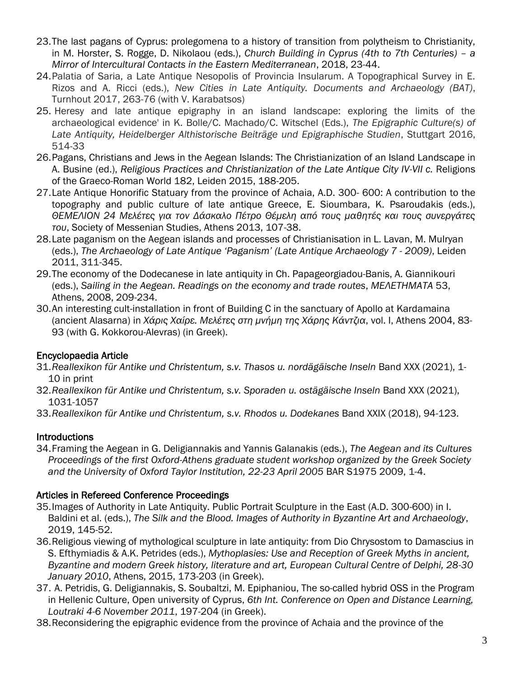- 23.The last pagans of Cyprus: prolegomena to a history of transition from polytheism to Christianity, in M. Horster, S. Rogge, D. Nikolaou (eds.), *Church Building in Cyprus (4th to 7th Centuries) – a Mirror of Intercultural Contacts in the Eastern Mediterranean*, 2018, 23-44.
- 24.Palatia of Saria, a Late Antique Nesopolis of Provincia Insularum. A Topographical Survey in E. Rizos and A. Ricci (eds.), *New Cities in Late Antiquity. Documents and Archaeology (BAT)*, Turnhout 2017, 263-76 (with V. Karabatsos)
- 25. Heresy and late antique epigraphy in an island landscape: exploring the limits of the archaeological evidence' in K. Bolle/C. Machado/C. Witschel (Eds.), *The Epigraphic Culture(s) of Late Antiquity, Heidelberger Althistorische Beiträge und Epigraphische Studien*, Stuttgart 2016, 514-33
- 26.Pagans, Christians and Jews in the Aegean Islands: The Christianization of an Island Landscape in A. Busine (ed.), *Religious Practices and Christianization of the Late Antique City IV-VII c.* Religions of the Graeco-Roman World 182, Leiden 2015, 188-205.
- 27.Late Antique Honorific Statuary from the province of Achaia, A.D. 300- 600: A contribution to the topography and public culture of late antique Greece, E. Sioumbara, K. Psaroudakis (eds.), *ΘΕΜΕΛΙΟΝ 24 Μελέτες για τον Δάσκαλο Πέτρο Θέμελη από τους μαθητές και τους συνεργάτες του*, Society of Messenian Studies, Athens 2013, 107-38.
- 28.Late paganism on the Aegean islands and processes of Christianisation in L. Lavan, M. Mulryan (eds.), *The Archaeology of Late Antique 'Paganism' (Late Antique Archaeology 7 - 2009)*, Leiden 2011, 311-345.
- 29.The economy of the Dodecanese in late antiquity in Ch. Papageorgiadou-Banis, A. Giannikouri (eds.), *Sailing in the Aegean. Readings on the economy and trade routes*, *ΜΕΛΕΤΗΜΑΤΑ* 53, Athens, 2008, 209-234.
- 30.An interesting cult-installation in front of Building C in the sanctuary of Apollo at Kardamaina (ancient Alasarna) in *Χάρις Χαίρε. Μελέτες στη μνήμη της Χάρης Κάντζια*, vol. I, Athens 2004, 83- 93 (with G. Kokkorou-Alevras) (in Greek).

## Encyclopaedia Article

- 31.*Reallexikon für Antike und Christentum, s.v. Thasos u. nordägäische Inseln* Band XXX (2021), 1- 10 in print
- 32.*Reallexikon für Antike und Christentum, s.v. Sporaden u. ostägäische Inseln* Band XXX (2021), 1031-1057
- 33.*Reallexikon für Antike und Christentum, s.v. Rhodos u. Dodekanes* Band XXIX (2018), 94-123.

# Introductions

34.Framing the Aegean in G. Deligiannakis and Yannis Galanakis (eds.), *The Aegean and its Cultures Proceedings of the first Oxford-Athens graduate student workshop organized by the Greek Society and the University of Oxford Taylor Institution, 22-23 April 2005* BAR S1975 2009, 1-4.

# Articles in Refereed Conference Proceedings

- 35.Images of Authority in Late Antiquity. Public Portrait Sculpture in the East (A.D. 300-600) in I. Baldini et al. (eds.), *The Silk and the Blood. Images of Authority in Byzantine Art and Archaeology*, 2019, 145-52.
- 36.Religious viewing of mythological sculpture in late antiquity: from Dio Chrysostom to Damascius in S. Efthymiadis & A.K. Petrides (eds.), *Mythoplasies: Use and Reception of Greek Myths in ancient, Byzantine and modern Greek history, literature and art, European Cultural Centre of Delphi, 28-30 January 2010*, Athens, 2015, 173-203 (in Greek).
- 37. A. Petridis, G. Deligiannakis, S. Soubaltzi, M. Epiphaniou, The so-called hybrid OSS in the Program in Hellenic Culture, Open university of Cyprus, *6th Int. Conference on Open and Distance Learning, Loutraki 4-6 November 2011*, 197-204 (in Greek).
- 38.Reconsidering the epigraphic evidence from the province of Achaia and the province of the